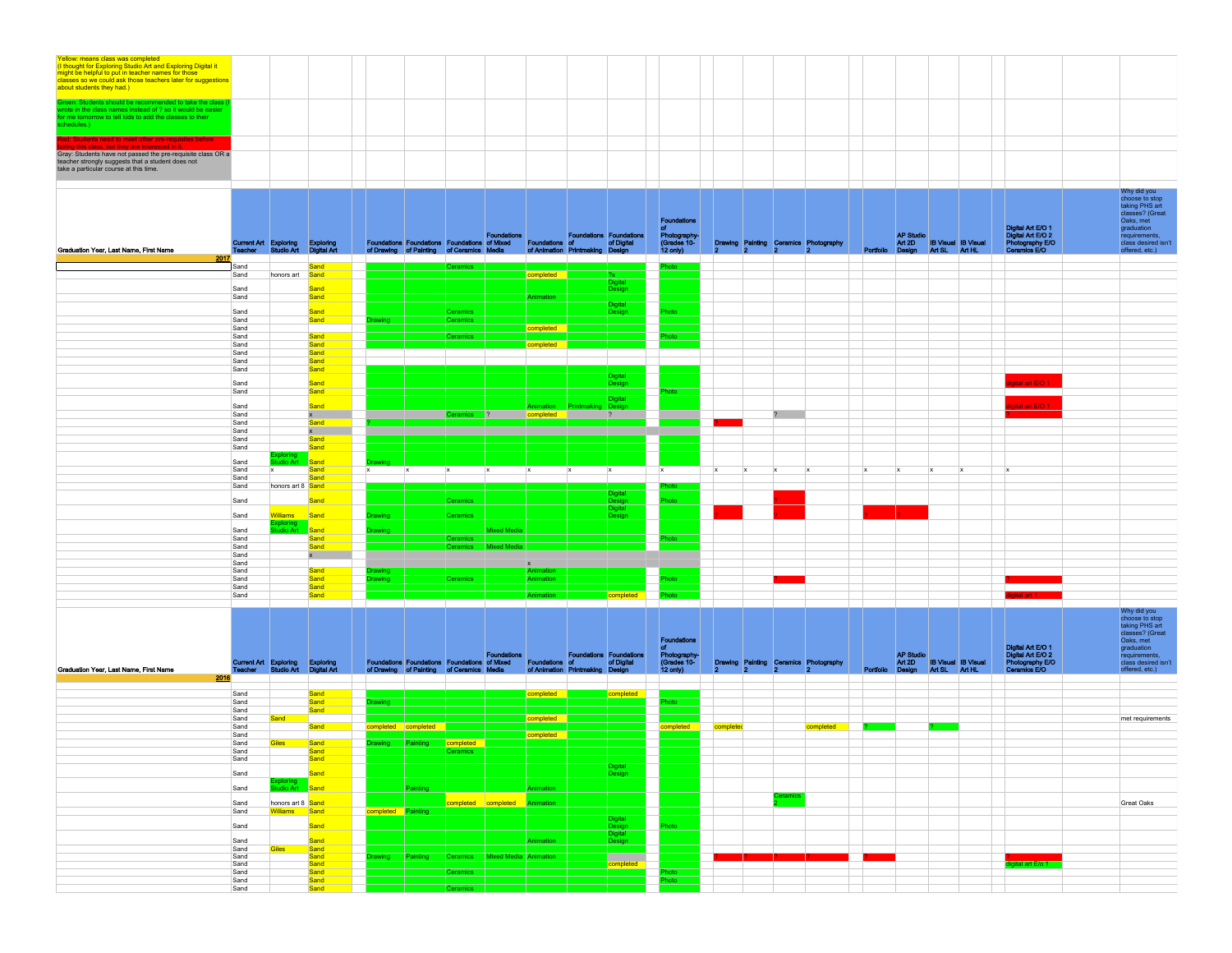|                                                                                                                                                                                                                                                      |  |  |  |  |  |  |  |  |  |  |  | Why did you<br>choose to stop<br>taking PHS art |
|------------------------------------------------------------------------------------------------------------------------------------------------------------------------------------------------------------------------------------------------------|--|--|--|--|--|--|--|--|--|--|--|-------------------------------------------------|
|                                                                                                                                                                                                                                                      |  |  |  |  |  |  |  |  |  |  |  |                                                 |
| Gray: Students have not passed the pre-requisite class OR a<br>teacher strongly suggests that a student does not<br>take a particular course at this time.                                                                                           |  |  |  |  |  |  |  |  |  |  |  |                                                 |
| d: Students need to meet other pre-requisites before<br>ing this class, but they are interested in it.                                                                                                                                               |  |  |  |  |  |  |  |  |  |  |  |                                                 |
| Green: Students should be recommended to take the class (I<br>wrote in the class names instead of ? so it would be easier<br>for me tomorrow to tell kids to add the classes to their<br>chedules.)                                                  |  |  |  |  |  |  |  |  |  |  |  |                                                 |
| Yellow: means class was completed<br>(I thought for Exploring Studio Art and Exploring Digital it<br>might be helpful to put in teacher names for those<br>classes so we could ask those teachers later for suggestions<br>about students they had.) |  |  |  |  |  |  |  |  |  |  |  |                                                 |

| Graduation Year, Last Name, First Name<br>2017 |              | Current Art Exploring Exploring<br>Teacher Studio Art Digital Art |                          |              | Foundations Foundations Foundations of Mixed Foundations of<br>of Drawing of Painting of Ceramics Media |                 | Foundations           | of Animation Printmaking Design                                                |              | <b>Foundations Foundations</b><br>of Digital | <b>Foundations</b><br>Photography-<br>(Grades 10-<br>$12$ only)       | 12.          | ١o           | Þ            | Drawing Painting Ceramics Photography |                           | <b>AP Studio</b><br>Art 2D IB Visual IB Visual<br>Portfolio Design Art SL Art HL |               |                                   | Digital Art E/O 1<br>Digital Art E/O 2<br>Photography E/O<br><b>Ceramics E/O</b> | taking PHS art<br>classes? (Great<br>Oaks, met<br>graduation<br>requirements.<br>class desired isn't<br>offered, etc.)                                  |
|------------------------------------------------|--------------|-------------------------------------------------------------------|--------------------------|--------------|---------------------------------------------------------------------------------------------------------|-----------------|-----------------------|--------------------------------------------------------------------------------|--------------|----------------------------------------------|-----------------------------------------------------------------------|--------------|--------------|--------------|---------------------------------------|---------------------------|----------------------------------------------------------------------------------|---------------|-----------------------------------|----------------------------------------------------------------------------------|---------------------------------------------------------------------------------------------------------------------------------------------------------|
|                                                | Sand         |                                                                   | Sand and                 |              |                                                                                                         | <b>Ceramics</b> |                       |                                                                                |              |                                              | oto                                                                   |              |              |              |                                       |                           |                                                                                  |               |                                   |                                                                                  |                                                                                                                                                         |
|                                                | Sand         | honors art                                                        | Sand                     |              |                                                                                                         |                 |                       | completed                                                                      |              | ŻX.<br>Digital                               |                                                                       |              |              |              |                                       |                           |                                                                                  |               |                                   |                                                                                  |                                                                                                                                                         |
|                                                | Sand         |                                                                   | Sand                     |              |                                                                                                         |                 |                       |                                                                                |              | Design                                       |                                                                       |              |              |              |                                       |                           |                                                                                  |               |                                   |                                                                                  |                                                                                                                                                         |
|                                                | Sand         |                                                                   | Sand                     |              |                                                                                                         |                 |                       | nimation                                                                       |              | Digital                                      |                                                                       |              |              |              |                                       |                           |                                                                                  |               |                                   |                                                                                  |                                                                                                                                                         |
|                                                | Sand         |                                                                   | Sand                     |              |                                                                                                         | <b>Ceramics</b> |                       |                                                                                |              | Design                                       | ioto                                                                  |              |              |              |                                       |                           |                                                                                  |               |                                   |                                                                                  |                                                                                                                                                         |
|                                                | Sand<br>Sand |                                                                   | Sand                     | awing        |                                                                                                         | Ceramics        |                       | completed                                                                      |              |                                              |                                                                       |              |              |              |                                       |                           |                                                                                  |               |                                   |                                                                                  |                                                                                                                                                         |
|                                                | Sand         |                                                                   | Sand                     |              |                                                                                                         | Ceramics        |                       |                                                                                |              |                                              | oto                                                                   |              |              |              |                                       |                           |                                                                                  |               |                                   |                                                                                  |                                                                                                                                                         |
|                                                | Sand<br>Sand |                                                                   | Sand<br>Sand             |              |                                                                                                         |                 |                       | completed                                                                      |              |                                              |                                                                       |              |              |              |                                       |                           |                                                                                  |               |                                   |                                                                                  |                                                                                                                                                         |
|                                                | Sand         |                                                                   | Sand                     |              |                                                                                                         |                 |                       |                                                                                |              |                                              |                                                                       |              |              |              |                                       |                           |                                                                                  |               |                                   |                                                                                  |                                                                                                                                                         |
|                                                | Sand         |                                                                   | Sand                     |              |                                                                                                         |                 |                       |                                                                                |              |                                              |                                                                       |              |              |              |                                       |                           |                                                                                  |               |                                   |                                                                                  |                                                                                                                                                         |
|                                                | Sand         |                                                                   | Sand                     |              |                                                                                                         |                 |                       |                                                                                |              | <b>Digital</b><br>Desiar                     |                                                                       |              |              |              |                                       |                           |                                                                                  |               |                                   | ital art E/O 1                                                                   |                                                                                                                                                         |
|                                                | Sand         |                                                                   | Sand                     |              |                                                                                                         |                 |                       |                                                                                |              |                                              | oto                                                                   |              |              |              |                                       |                           |                                                                                  |               |                                   |                                                                                  |                                                                                                                                                         |
|                                                | Sand         |                                                                   | Sand                     |              |                                                                                                         |                 |                       | Animation                                                                      |              | Digital<br>Design                            |                                                                       |              |              |              |                                       |                           |                                                                                  |               |                                   | tal art $E/O$ 1                                                                  |                                                                                                                                                         |
|                                                | Sand         |                                                                   | $x =$                    |              |                                                                                                         | teramics :      | 2                     | completed                                                                      |              | $\overline{?}$                               |                                                                       |              |              | $2^{\circ}$  |                                       |                           |                                                                                  |               |                                   |                                                                                  |                                                                                                                                                         |
|                                                | Sand<br>Sand |                                                                   | Sand                     |              |                                                                                                         |                 |                       |                                                                                |              |                                              |                                                                       |              |              |              |                                       |                           |                                                                                  |               |                                   |                                                                                  |                                                                                                                                                         |
|                                                | Sand         |                                                                   | $x =$<br>Sand            |              |                                                                                                         |                 |                       |                                                                                |              |                                              |                                                                       |              |              |              |                                       |                           |                                                                                  |               |                                   |                                                                                  |                                                                                                                                                         |
|                                                | Sand         |                                                                   | Sand                     |              |                                                                                                         |                 |                       |                                                                                |              |                                              |                                                                       |              |              |              |                                       |                           |                                                                                  |               |                                   |                                                                                  |                                                                                                                                                         |
|                                                | Sand         | dio Ar                                                            | Sand                     |              |                                                                                                         |                 |                       |                                                                                |              |                                              |                                                                       |              |              |              |                                       |                           |                                                                                  |               |                                   |                                                                                  |                                                                                                                                                         |
|                                                | Sand         | <b>x</b>                                                          | Sand                     | $\mathbf{x}$ | $\mathbf{x}$                                                                                            | $\mathbf{x}$    | $\mathbf{x}$          | <b>X</b>                                                                       | $\mathbf{x}$ | $\mathbf{x}$                                 | $\mathbf{x}$                                                          | $\mathbf{x}$ | $\mathbf{x}$ | $\mathbf{x}$ |                                       | $\boldsymbol{\mathsf{x}}$ |                                                                                  |               |                                   |                                                                                  |                                                                                                                                                         |
|                                                | Sand<br>Sand | honors art 8 Sand                                                 | Sand                     |              |                                                                                                         |                 |                       |                                                                                |              |                                              |                                                                       |              |              |              |                                       |                           |                                                                                  |               |                                   |                                                                                  |                                                                                                                                                         |
|                                                |              |                                                                   |                          |              |                                                                                                         |                 |                       |                                                                                |              | <b>Digital</b>                               |                                                                       |              |              |              |                                       |                           |                                                                                  |               |                                   |                                                                                  |                                                                                                                                                         |
|                                                | Sand         |                                                                   | Sand                     |              |                                                                                                         | Ceramics        |                       |                                                                                |              | Design<br>Digital                            |                                                                       |              |              |              |                                       |                           |                                                                                  |               |                                   |                                                                                  |                                                                                                                                                         |
|                                                | Sand         | <b>Nilliams</b>                                                   | Sand                     | rawing       |                                                                                                         | Ceramics        |                       |                                                                                |              | esign                                        |                                                                       |              |              |              |                                       |                           |                                                                                  |               |                                   |                                                                                  |                                                                                                                                                         |
|                                                | Sand         |                                                                   | Sand                     | rawing       |                                                                                                         |                 | Mixed Media           |                                                                                |              |                                              |                                                                       |              |              |              |                                       |                           |                                                                                  |               |                                   |                                                                                  |                                                                                                                                                         |
|                                                | Sand         |                                                                   | Sand                     |              |                                                                                                         | Ceramics        |                       |                                                                                |              |                                              | ota                                                                   |              |              |              |                                       |                           |                                                                                  |               |                                   |                                                                                  |                                                                                                                                                         |
|                                                | Sand         |                                                                   | Sand                     |              |                                                                                                         | Ceramics        | <b>Mixed Media</b>    |                                                                                |              |                                              |                                                                       |              |              |              |                                       |                           |                                                                                  |               |                                   |                                                                                  |                                                                                                                                                         |
|                                                | Sand<br>Sand |                                                                   | $\mathbf{x}$             |              |                                                                                                         |                 |                       |                                                                                |              |                                              |                                                                       |              |              |              |                                       |                           |                                                                                  |               |                                   |                                                                                  |                                                                                                                                                         |
|                                                | Sand         |                                                                   | Sand                     | rawing __    |                                                                                                         |                 |                       | Animation                                                                      |              |                                              |                                                                       |              |              |              |                                       |                           |                                                                                  |               |                                   |                                                                                  |                                                                                                                                                         |
|                                                | Sand         |                                                                   | Sand                     | rawing       |                                                                                                         | Ceramics        |                       | Animation                                                                      |              |                                              | oto                                                                   |              |              |              |                                       |                           |                                                                                  |               |                                   |                                                                                  |                                                                                                                                                         |
|                                                | Sand<br>Sand |                                                                   | Sand<br>Sand             |              |                                                                                                         |                 |                       |                                                                                |              | completed                                    | inta                                                                  |              |              |              |                                       |                           |                                                                                  |               |                                   | ligital art 1                                                                    |                                                                                                                                                         |
| Graduation Year, Last Name, First Name<br>2016 | Teacher      | Current Art Exploring<br>Studio Art                               | Exploring<br>Digital Art |              | Foundations Foundations Foundations of Mixed<br>of Drawing of Painting of Ceramics Media                |                 | <b>Foundations</b>    | Foundations of<br>Foundations of of Digital<br>of Animation Printmaking Design |              | <b>Foundations Foundations</b>               | <b>Foundations</b><br>of<br>Photography-<br>(Grades 10-<br>$12$ only) |              |              |              | Drawing Painting Ceramics Photography | Portfolio                 | <b>AP Studio</b><br>Design                                                       | Art SL Art HL | Art 2D <b>IB Visual IB Visual</b> | Digital Art E/O 1<br>Digital Art E/O 2<br>Photography E/O<br>Ceramics E/O        | Why did you<br>choose to stop<br>taking PHS art<br>classes? (Great<br>Oaks, met<br>graduation<br>requirements,<br>class desired isn't<br>offered, etc.) |
|                                                | Sand         |                                                                   | Sand                     |              |                                                                                                         |                 |                       | completed                                                                      |              | completed                                    |                                                                       |              |              |              |                                       |                           |                                                                                  |               |                                   |                                                                                  |                                                                                                                                                         |
|                                                | Sand<br>Sand |                                                                   | Sand<br>Sand             | awing        |                                                                                                         |                 |                       |                                                                                |              |                                              | pto                                                                   |              |              |              |                                       |                           |                                                                                  |               |                                   |                                                                                  |                                                                                                                                                         |
|                                                | Sand         | and                                                               |                          |              |                                                                                                         |                 |                       | completed                                                                      |              |                                              |                                                                       |              |              |              |                                       |                           |                                                                                  |               |                                   |                                                                                  | met requirements                                                                                                                                        |
|                                                | Sand<br>Sand |                                                                   | Sand                     |              | completed completed                                                                                     |                 |                       |                                                                                |              |                                              | completed                                                             | complete     |              |              | completed                             |                           |                                                                                  |               |                                   |                                                                                  |                                                                                                                                                         |
|                                                | Sand         | Siles                                                             | Sand                     |              | awing<br>Painting Painting                                                                              | completed       |                       | completed                                                                      |              |                                              |                                                                       |              |              |              |                                       |                           |                                                                                  |               |                                   |                                                                                  |                                                                                                                                                         |
|                                                | Sand         |                                                                   | Sand                     |              |                                                                                                         | Jeramics        |                       |                                                                                |              |                                              |                                                                       |              |              |              |                                       |                           |                                                                                  |               |                                   |                                                                                  |                                                                                                                                                         |
|                                                | Sand         |                                                                   | Sand                     |              |                                                                                                         |                 |                       |                                                                                |              | Digital                                      |                                                                       |              |              |              |                                       |                           |                                                                                  |               |                                   |                                                                                  |                                                                                                                                                         |
|                                                | Sand         |                                                                   | Sand                     |              |                                                                                                         |                 |                       |                                                                                |              | Design                                       |                                                                       |              |              |              |                                       |                           |                                                                                  |               |                                   |                                                                                  |                                                                                                                                                         |
|                                                | Sand         |                                                                   | Sand                     |              | ainting                                                                                                 |                 |                       | Animation                                                                      |              |                                              |                                                                       |              |              | eramic:      |                                       |                           |                                                                                  |               |                                   |                                                                                  |                                                                                                                                                         |
|                                                | Sand         | honors art 8 Sand                                                 |                          |              |                                                                                                         |                 | completed completed   | nimation                                                                       |              |                                              |                                                                       |              |              |              |                                       |                           |                                                                                  |               |                                   |                                                                                  | Great Oaks                                                                                                                                              |
|                                                | Sand<br>Sand | Williams                                                          | Sand<br>Sand             | completed    | Painting                                                                                                |                 |                       |                                                                                |              | Digital<br>Design                            |                                                                       |              |              |              |                                       |                           |                                                                                  |               |                                   |                                                                                  |                                                                                                                                                         |
|                                                |              |                                                                   |                          |              |                                                                                                         |                 |                       |                                                                                |              | Digital                                      |                                                                       |              |              |              |                                       |                           |                                                                                  |               |                                   |                                                                                  |                                                                                                                                                         |
|                                                | Sand<br>Sand | iles                                                              | Sand<br>Sand             |              |                                                                                                         |                 |                       | Animation                                                                      |              | Design                                       |                                                                       |              |              |              |                                       |                           |                                                                                  |               |                                   |                                                                                  |                                                                                                                                                         |
|                                                | Sand         |                                                                   | Sand                     | rawing __    | Painting                                                                                                | Ceramics        | Mixed Media Animation |                                                                                |              |                                              |                                                                       |              |              |              |                                       |                           |                                                                                  |               |                                   |                                                                                  |                                                                                                                                                         |
|                                                | Sand<br>Sand |                                                                   | Sand<br>Sand             |              |                                                                                                         | Deramics        |                       |                                                                                |              | completed                                    |                                                                       |              |              |              |                                       |                           |                                                                                  |               |                                   | gital art E/o 1                                                                  |                                                                                                                                                         |
|                                                | Sand         |                                                                   | Sand                     |              |                                                                                                         |                 |                       |                                                                                |              |                                              |                                                                       |              |              |              |                                       |                           |                                                                                  |               |                                   |                                                                                  |                                                                                                                                                         |
|                                                | Sand         |                                                                   | Sand                     |              |                                                                                                         | Ceramics        |                       |                                                                                |              |                                              |                                                                       |              |              |              |                                       |                           |                                                                                  |               |                                   |                                                                                  |                                                                                                                                                         |